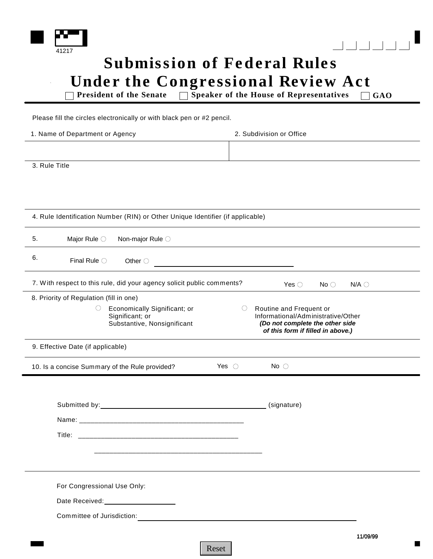



## **Submission of Federal Rules Under the Congressional Review Act**

**President of the Senate**  $\qquad \qquad \square$  **Speaker of the House of Representatives**  $\qquad \square$  **GAO** 

Please fill the circles electronically or with black pen or #2 pencil.

| 1. Name of Department or Agency                                                                                                                                                                                               | 2. Subdivision or Office                                                    |
|-------------------------------------------------------------------------------------------------------------------------------------------------------------------------------------------------------------------------------|-----------------------------------------------------------------------------|
|                                                                                                                                                                                                                               |                                                                             |
| 3. Rule Title                                                                                                                                                                                                                 |                                                                             |
|                                                                                                                                                                                                                               |                                                                             |
|                                                                                                                                                                                                                               |                                                                             |
| 4. Rule Identification Number (RIN) or Other Unique Identifier (if applicable)                                                                                                                                                |                                                                             |
| 5.<br>Major Rule $\bigcirc$<br>Non-major Rule O                                                                                                                                                                               |                                                                             |
| 6.<br>Final Rule $\bigcirc$<br>Other $\bigcirc$                                                                                                                                                                               |                                                                             |
| 7. With respect to this rule, did your agency solicit public comments?                                                                                                                                                        | Yes $\bigcirc$<br>No $\bigcirc$<br>$N/A$ $\bigcirc$                         |
| 8. Priority of Regulation (fill in one)                                                                                                                                                                                       |                                                                             |
| $\bigcirc$<br>Economically Significant; or<br>Significant; or                                                                                                                                                                 | Routine and Frequent or<br>$\bigcirc$<br>Informational/Administrative/Other |
| Substantive, Nonsignificant                                                                                                                                                                                                   | (Do not complete the other side<br>of this form if filled in above.)        |
| 9. Effective Date (if applicable)                                                                                                                                                                                             |                                                                             |
| Yes $\bigcirc$<br>10. Is a concise Summary of the Rule provided?                                                                                                                                                              | No $\bigcirc$                                                               |
|                                                                                                                                                                                                                               |                                                                             |
| Submitted by: Note that the set of the set of the set of the set of the set of the set of the set of the set of the set of the set of the set of the set of the set of the set of the set of the set of the set of the set of | (signature)                                                                 |
|                                                                                                                                                                                                                               |                                                                             |
| Title:                                                                                                                                                                                                                        |                                                                             |
|                                                                                                                                                                                                                               |                                                                             |
|                                                                                                                                                                                                                               |                                                                             |
| For Congressional Use Only:                                                                                                                                                                                                   |                                                                             |
| Date Received:<br><u> </u>                                                                                                                                                                                                    |                                                                             |
| Committee of Jurisdiction:                                                                                                                                                                                                    |                                                                             |
|                                                                                                                                                                                                                               | 11/09/99                                                                    |

Reset